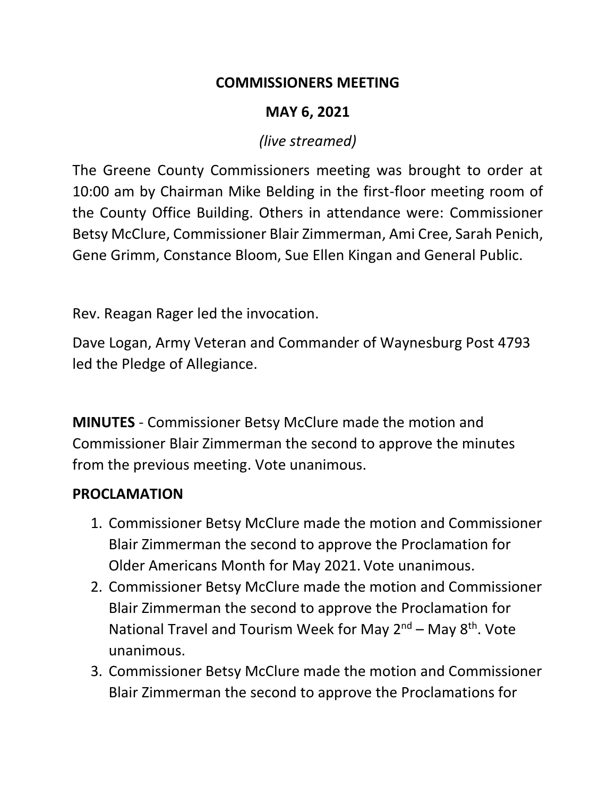#### **COMMISSIONERS MEETING**

## **MAY 6, 2021**

## *(live streamed)*

The Greene County Commissioners meeting was brought to order at 10:00 am by Chairman Mike Belding in the first-floor meeting room of the County Office Building. Others in attendance were: Commissioner Betsy McClure, Commissioner Blair Zimmerman, Ami Cree, Sarah Penich, Gene Grimm, Constance Bloom, Sue Ellen Kingan and General Public.

Rev. Reagan Rager led the invocation.

Dave Logan, Army Veteran and Commander of Waynesburg Post 4793 led the Pledge of Allegiance.

**MINUTES** - Commissioner Betsy McClure made the motion and Commissioner Blair Zimmerman the second to approve the minutes from the previous meeting. Vote unanimous.

## **PROCLAMATION**

- 1. Commissioner Betsy McClure made the motion and Commissioner Blair Zimmerman the second to approve the Proclamation for Older Americans Month for May 2021. Vote unanimous.
- 2. Commissioner Betsy McClure made the motion and Commissioner Blair Zimmerman the second to approve the Proclamation for National Travel and Tourism Week for May 2<sup>nd</sup> – May 8<sup>th</sup>. Vote unanimous.
- 3. Commissioner Betsy McClure made the motion and Commissioner Blair Zimmerman the second to approve the Proclamations for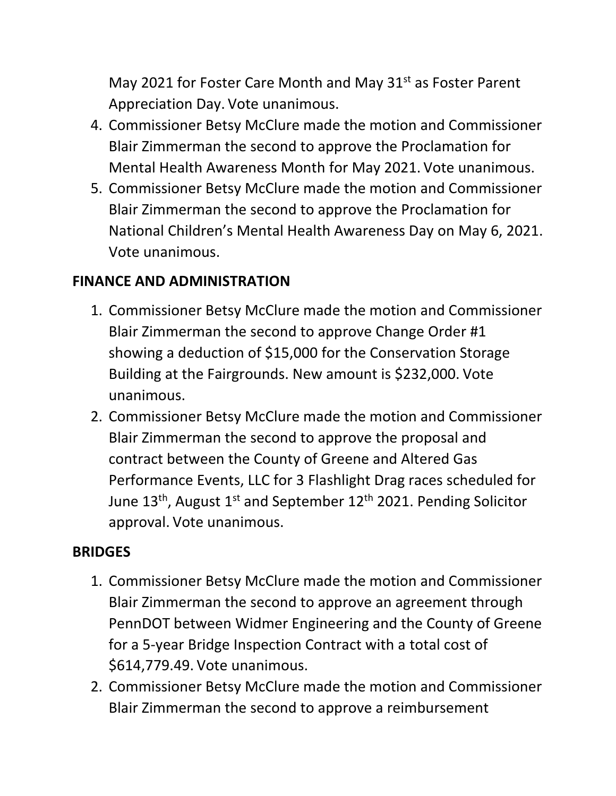May 2021 for Foster Care Month and May 31<sup>st</sup> as Foster Parent Appreciation Day. Vote unanimous.

- 4. Commissioner Betsy McClure made the motion and Commissioner Blair Zimmerman the second to approve the Proclamation for Mental Health Awareness Month for May 2021. Vote unanimous.
- 5. Commissioner Betsy McClure made the motion and Commissioner Blair Zimmerman the second to approve the Proclamation for National Children's Mental Health Awareness Day on May 6, 2021. Vote unanimous.

#### **FINANCE AND ADMINISTRATION**

- 1. Commissioner Betsy McClure made the motion and Commissioner Blair Zimmerman the second to approve Change Order #1 showing a deduction of \$15,000 for the Conservation Storage Building at the Fairgrounds. New amount is \$232,000. Vote unanimous.
- 2. Commissioner Betsy McClure made the motion and Commissioner Blair Zimmerman the second to approve the proposal and contract between the County of Greene and Altered Gas Performance Events, LLC for 3 Flashlight Drag races scheduled for June  $13<sup>th</sup>$ , August  $1<sup>st</sup>$  and September  $12<sup>th</sup>$  2021. Pending Solicitor approval. Vote unanimous.

#### **BRIDGES**

- 1. Commissioner Betsy McClure made the motion and Commissioner Blair Zimmerman the second to approve an agreement through PennDOT between Widmer Engineering and the County of Greene for a 5-year Bridge Inspection Contract with a total cost of \$614,779.49. Vote unanimous.
- 2. Commissioner Betsy McClure made the motion and Commissioner Blair Zimmerman the second to approve a reimbursement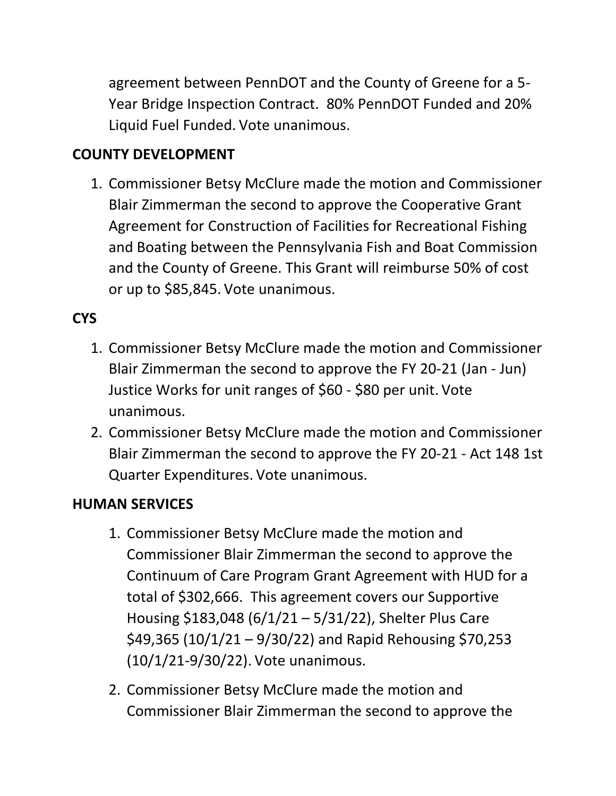agreement between PennDOT and the County of Greene for a 5- Year Bridge Inspection Contract. 80% PennDOT Funded and 20% Liquid Fuel Funded. Vote unanimous.

## **COUNTY DEVELOPMENT**

1. Commissioner Betsy McClure made the motion and Commissioner Blair Zimmerman the second to approve the Cooperative Grant Agreement for Construction of Facilities for Recreational Fishing and Boating between the Pennsylvania Fish and Boat Commission and the County of Greene. This Grant will reimburse 50% of cost or up to \$85,845. Vote unanimous.

## **CYS**

- 1. Commissioner Betsy McClure made the motion and Commissioner Blair Zimmerman the second to approve the FY 20-21 (Jan - Jun) Justice Works for unit ranges of \$60 - \$80 per unit. Vote unanimous.
- 2. Commissioner Betsy McClure made the motion and Commissioner Blair Zimmerman the second to approve the FY 20-21 - Act 148 1st Quarter Expenditures. Vote unanimous.

## **HUMAN SERVICES**

- 1. Commissioner Betsy McClure made the motion and Commissioner Blair Zimmerman the second to approve the Continuum of Care Program Grant Agreement with HUD for a total of \$302,666. This agreement covers our Supportive Housing \$183,048 (6/1/21 – 5/31/22), Shelter Plus Care \$49,365 (10/1/21 – 9/30/22) and Rapid Rehousing \$70,253 (10/1/21-9/30/22). Vote unanimous.
- 2. Commissioner Betsy McClure made the motion and Commissioner Blair Zimmerman the second to approve the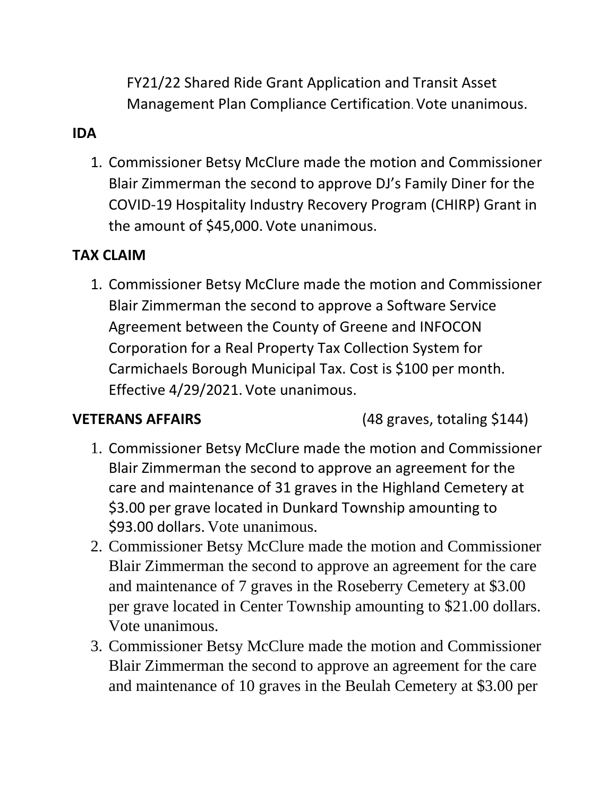FY21/22 Shared Ride Grant Application and Transit Asset Management Plan Compliance Certification. Vote unanimous.

## **IDA**

1. Commissioner Betsy McClure made the motion and Commissioner Blair Zimmerman the second to approve DJ's Family Diner for the COVID-19 Hospitality Industry Recovery Program (CHIRP) Grant in the amount of \$45,000. Vote unanimous.

#### **TAX CLAIM**

1. Commissioner Betsy McClure made the motion and Commissioner Blair Zimmerman the second to approve a Software Service Agreement between the County of Greene and INFOCON Corporation for a Real Property Tax Collection System for Carmichaels Borough Municipal Tax. Cost is \$100 per month. Effective 4/29/2021. Vote unanimous.

**VETERANS AFFAIRS** (48 graves, totaling \$144)

- 1. Commissioner Betsy McClure made the motion and Commissioner Blair Zimmerman the second to approve an agreement for the care and maintenance of 31 graves in the Highland Cemetery at \$3.00 per grave located in Dunkard Township amounting to \$93.00 dollars. Vote unanimous.
- 2. Commissioner Betsy McClure made the motion and Commissioner Blair Zimmerman the second to approve an agreement for the care and maintenance of 7 graves in the Roseberry Cemetery at \$3.00 per grave located in Center Township amounting to \$21.00 dollars. Vote unanimous.
- 3. Commissioner Betsy McClure made the motion and Commissioner Blair Zimmerman the second to approve an agreement for the care and maintenance of 10 graves in the Beulah Cemetery at \$3.00 per